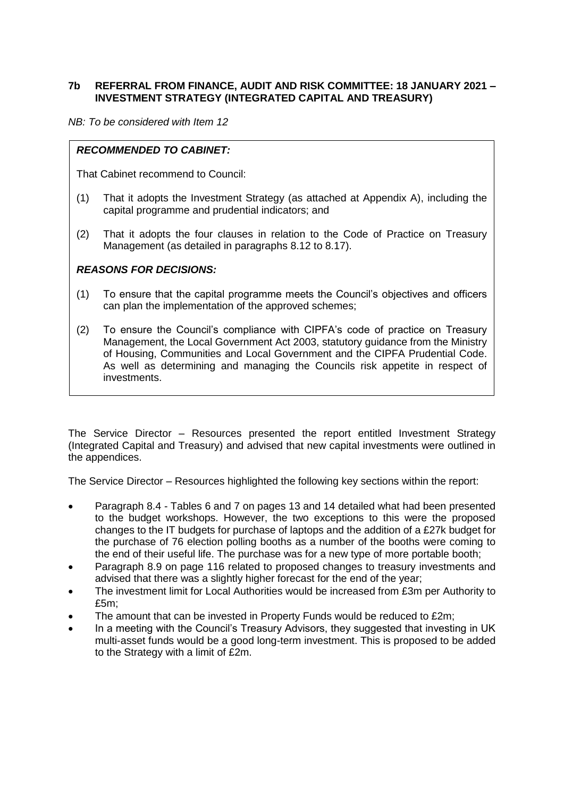## **7b REFERRAL FROM FINANCE, AUDIT AND RISK COMMITTEE: 18 JANUARY 2021 – INVESTMENT STRATEGY (INTEGRATED CAPITAL AND TREASURY)**

*NB: To be considered with Item 12*

# *RECOMMENDED TO CABINET:*

That Cabinet recommend to Council:

- (1) That it adopts the Investment Strategy (as attached at Appendix A), including the capital programme and prudential indicators; and
- (2) That it adopts the four clauses in relation to the Code of Practice on Treasury Management (as detailed in paragraphs 8.12 to 8.17).

#### *REASONS FOR DECISIONS:*

- (1) To ensure that the capital programme meets the Council's objectives and officers can plan the implementation of the approved schemes;
- (2) To ensure the Council's compliance with CIPFA's code of practice on Treasury Management, the Local Government Act 2003, statutory guidance from the Ministry of Housing, Communities and Local Government and the CIPFA Prudential Code. As well as determining and managing the Councils risk appetite in respect of investments.

The Service Director – Resources presented the report entitled Investment Strategy (Integrated Capital and Treasury) and advised that new capital investments were outlined in the appendices.

The Service Director – Resources highlighted the following key sections within the report:

- Paragraph 8.4 Tables 6 and 7 on pages 13 and 14 detailed what had been presented to the budget workshops. However, the two exceptions to this were the proposed changes to the IT budgets for purchase of laptops and the addition of a £27k budget for the purchase of 76 election polling booths as a number of the booths were coming to the end of their useful life. The purchase was for a new type of more portable booth;
- Paragraph 8.9 on page 116 related to proposed changes to treasury investments and advised that there was a slightly higher forecast for the end of the year;
- The investment limit for Local Authorities would be increased from £3m per Authority to £5m;
- The amount that can be invested in Property Funds would be reduced to £2m;
- In a meeting with the Council's Treasury Advisors, they suggested that investing in UK multi-asset funds would be a good long-term investment. This is proposed to be added to the Strategy with a limit of £2m.